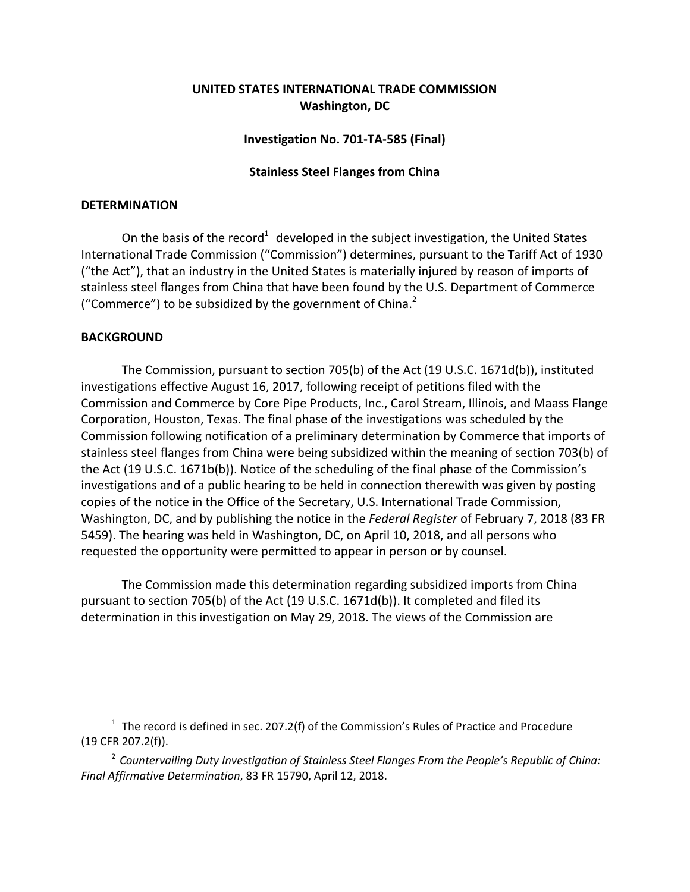# **UNITED STATES INTERNATIONAL TRADE COMMISSION Washington, DC**

## **Investigation No. 701‐TA‐585 (Final)**

## **Stainless Steel Flanges from China**

#### **DETERMINATION**

On the basis of the record<sup>1</sup> developed in the subject investigation, the United States International Trade Commission ("Commission") determines, pursuant to the Tariff Act of 1930 ("the Act"), that an industry in the United States is materially injured by reason of imports of stainless steel flanges from China that have been found by the U.S. Department of Commerce ("Commerce") to be subsidized by the government of China.<sup>2</sup>

## **BACKGROUND**

 $\overline{a}$ 

The Commission, pursuant to section 705(b) of the Act (19 U.S.C. 1671d(b)), instituted investigations effective August 16, 2017, following receipt of petitions filed with the Commission and Commerce by Core Pipe Products, Inc., Carol Stream, Illinois, and Maass Flange Corporation, Houston, Texas. The final phase of the investigations was scheduled by the Commission following notification of a preliminary determination by Commerce that imports of stainless steel flanges from China were being subsidized within the meaning of section 703(b) of the Act (19 U.S.C. 1671b(b)). Notice of the scheduling of the final phase of the Commission's investigations and of a public hearing to be held in connection therewith was given by posting copies of the notice in the Office of the Secretary, U.S. International Trade Commission, Washington, DC, and by publishing the notice in the *Federal Register* of February 7, 2018 (83 FR 5459). The hearing was held in Washington, DC, on April 10, 2018, and all persons who requested the opportunity were permitted to appear in person or by counsel.

The Commission made this determination regarding subsidized imports from China pursuant to section 705(b) of the Act (19 U.S.C. 1671d(b)). It completed and filed its determination in this investigation on May 29, 2018. The views of the Commission are

 $1$  The record is defined in sec. 207.2(f) of the Commission's Rules of Practice and Procedure (19 CFR 207.2(f)).

<sup>2</sup> *Countervailing Duty Investigation of Stainless Steel Flanges From the People's Republic of China: Final Affirmative Determination*, 83 FR 15790, April 12, 2018.